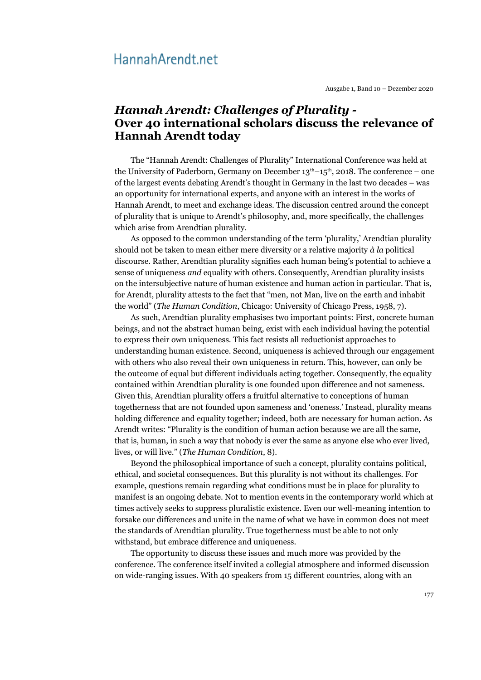## Hannah Arendt.net

Ausgabe 1, Band 10 – Dezember 2020

## *Hannah Arendt: Challenges of Plurality -* **Over 40 international scholars discuss the relevance of Hannah Arendt today**

The "Hannah Arendt: Challenges of Plurality" International Conference was held at the University of Paderborn, Germany on December  $13<sup>th</sup>-15<sup>th</sup>$ , 2018. The conference – one of the largest events debating Arendt's thought in Germany in the last two decades – was an opportunity for international experts, and anyone with an interest in the works of Hannah Arendt, to meet and exchange ideas. The discussion centred around the concept of plurality that is unique to Arendt's philosophy, and, more specifically, the challenges which arise from Arendtian plurality.

As opposed to the common understanding of the term 'plurality,' Arendtian plurality should not be taken to mean either mere diversity or a relative majority *à la* political discourse. Rather, Arendtian plurality signifies each human being's potential to achieve a sense of uniqueness *and* equality with others. Consequently, Arendtian plurality insists on the intersubjective nature of human existence and human action in particular. That is, for Arendt, plurality attests to the fact that "men, not Man, live on the earth and inhabit the world" (*The Human Condition*, Chicago: University of Chicago Press, 1958, 7).

As such, Arendtian plurality emphasises two important points: First, concrete human beings, and not the abstract human being, exist with each individual having the potential to express their own uniqueness. This fact resists all reductionist approaches to understanding human existence. Second, uniqueness is achieved through our engagement with others who also reveal their own uniqueness in return. This, however, can only be the outcome of equal but different individuals acting together. Consequently, the equality contained within Arendtian plurality is one founded upon difference and not sameness. Given this, Arendtian plurality offers a fruitful alternative to conceptions of human togetherness that are not founded upon sameness and 'oneness.' Instead, plurality means holding difference and equality together; indeed, both are necessary for human action. As Arendt writes: "Plurality is the condition of human action because we are all the same, that is, human, in such a way that nobody is ever the same as anyone else who ever lived, lives, or will live." (*The Human Condition*, 8).

Beyond the philosophical importance of such a concept, plurality contains political, ethical, and societal consequences. But this plurality is not without its challenges. For example, questions remain regarding what conditions must be in place for plurality to manifest is an ongoing debate. Not to mention events in the contemporary world which at times actively seeks to suppress pluralistic existence. Even our well-meaning intention to forsake our differences and unite in the name of what we have in common does not meet the standards of Arendtian plurality. True togetherness must be able to not only withstand, but embrace difference and uniqueness.

The opportunity to discuss these issues and much more was provided by the conference. The conference itself invited a collegial atmosphere and informed discussion on wide-ranging issues. With 40 speakers from 15 different countries, along with an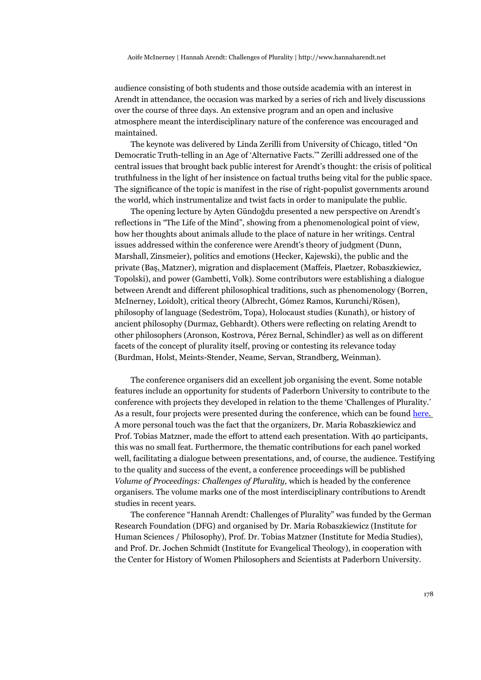audience consisting of both students and those outside academia with an interest in Arendt in attendance, the occasion was marked by a series of rich and lively discussions over the course of three days. An extensive program and an open and inclusive atmosphere meant the interdisciplinary nature of the conference was encouraged and maintained.

The keynote was delivered by Linda Zerilli from University of Chicago, titled "On Democratic Truth-telling in an Age of 'Alternative Facts.'" Zerilli addressed one of the central issues that brought back public interest for Arendt's thought: the crisis of political truthfulness in the light of her insistence on factual truths being vital for the public space. The significance of the topic is manifest in the rise of right-populist governments around the world, which instrumentalize and twist facts in order to manipulate the public.

The opening lecture by Ayten Gündoğdu presented a new perspective on Arendt's reflections in "The Life of the Mind", showing from a phenomenological point of view, how her thoughts about animals allude to the place of nature in her writings. Central issues addressed within the conference were Arendt's theory of judgment (Dunn, Marshall, Zinsmeier), politics and emotions (Hecker, Kajewski), the public and the private (Baş, Matzner), migration and displacement (Maffeis, Plaetzer, Robaszkiewicz, Topolski), and power (Gambetti, Volk). Some contributors were establishing a dialogue between Arendt and different philosophical traditions, such as phenomenology (Borren, McInerney, Loidolt), critical theory (Albrecht, Gómez Ramos, Kurunchi/Rösen), philosophy of language (Sedeström, Topa), Holocaust studies (Kunath), or history of ancient philosophy (Durmaz, Gebhardt). Others were reflecting on relating Arendt to other philosophers (Aronson, Kostrova, Pérez Bernal, Schindler) as well as on different facets of the concept of plurality itself, proving or contesting its relevance today (Burdman, Holst, Meints-Stender, Neame, Servan, Strandberg, Weinman).

The conference organisers did an excellent job organising the event. Some notable features include an opportunity for students of Paderborn University to contribute to the conference with projects they developed in relation to the theme 'Challenges of Plurality.' As a result, four projects were presented during the conference, which can be found [here .](https://kw.uni-paderborn.de/fach-philosophie/robaszkiewicz/projekte/challenges-of-plurality/student-project-challenges-of-plurality) A more personal touch was the fact that the organizers, Dr. Maria Robaszkiewicz and Prof. Tobias Matzner, made the effort to attend each presentation. With 40 participants, this was no small feat. Furthermore, the thematic contributions for each panel worked well, facilitating a dialogue between presentations, and, of course, the audience. Testifying to the quality and success of the event, a conference proceedings will be published *Volume of Proceedings: Challenges of Plurality,* which is headed by the conference organisers. The volume marks one of the most interdisciplinary contributions to Arendt studies in recent years.

The conference "Hannah Arendt: Challenges of Plurality" was funded by the German Research Foundation (DFG) and organised by Dr. Maria Robaszkiewicz (Institute for Human Sciences / Philosophy), Prof. Dr. Tobias Matzner (Institute for Media Studies), and Prof. Dr. Jochen Schmidt (Institute for Evangelical Theology), in cooperation with the Center for History of Women Philosophers and Scientists at Paderborn University.